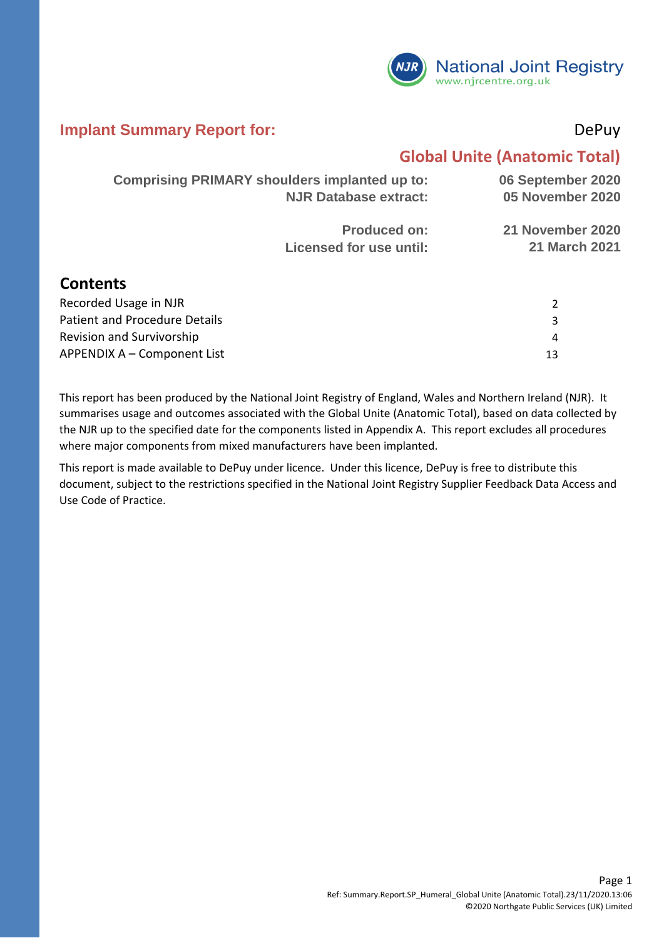

#### **Implant Summary Report for:** DePuy

#### **Global Unite (Anatomic Total)**

4 13

|                                      | <b>Comprising PRIMARY shoulders implanted up to:</b><br><b>NJR Database extract:</b> |                                          |
|--------------------------------------|--------------------------------------------------------------------------------------|------------------------------------------|
|                                      | <b>Produced on:</b><br><b>Licensed for use until:</b>                                | 21 November 2020<br><b>21 March 2021</b> |
| <b>Contents</b>                      |                                                                                      |                                          |
| Recorded Usage in NJR                |                                                                                      | 2                                        |
| <b>Patient and Procedure Details</b> |                                                                                      | 3                                        |

APPENDIX A – Component List Revision and Survivorship

This report has been produced by the National Joint Registry of England, Wales and Northern Ireland (NJR). It summarises usage and outcomes associated with the Global Unite (Anatomic Total), based on data collected by the NJR up to the specified date for the components listed in Appendix A. This report excludes all procedures where major components from mixed manufacturers have been implanted.

This report is made available to DePuy under licence. Under this licence, DePuy is free to distribute this document, subject to the restrictions specified in the National Joint Registry Supplier Feedback Data Access and Use Code of Practice.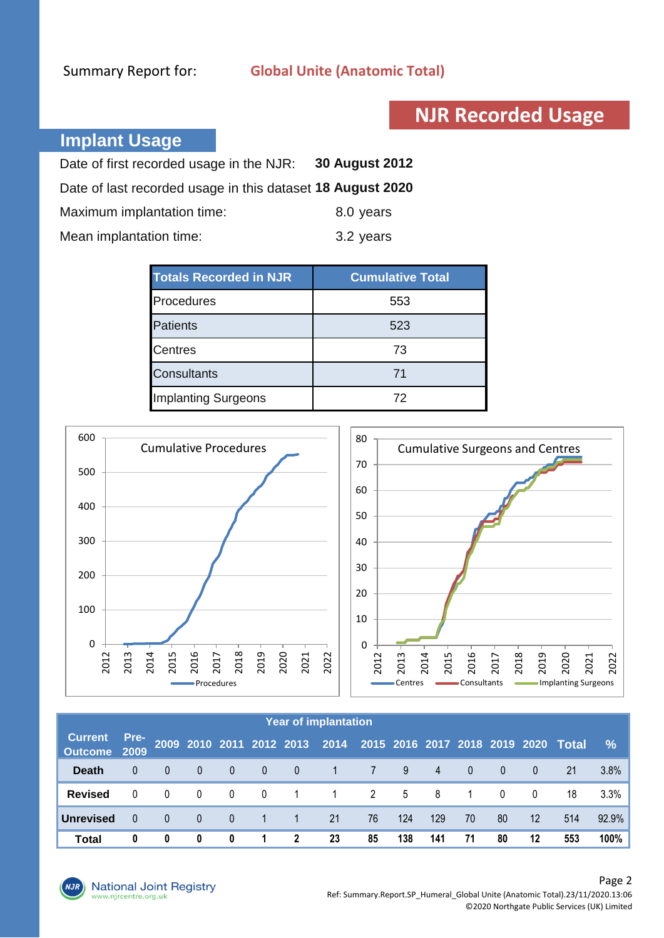## **NJR Recorded Usage**

#### **Implant Usage**

| Date of first recorded usage in the NJR:                   | 30 August 2012 |
|------------------------------------------------------------|----------------|
| Date of last recorded usage in this dataset 18 August 2020 |                |
| Maximum implantation time:                                 | 8.0 years      |
| Mean implantation time:                                    | 3.2 years      |

| <b>Totals Recorded in NJR</b> | <b>Cumulative Total</b> |
|-------------------------------|-------------------------|
| Procedures                    | 553                     |
| <b>Patients</b>               | 523                     |
| <b>Centres</b>                | 73                      |
| <b>Consultants</b>            | 71                      |
| <b>Implanting Surgeons</b>    | 72                      |



|                                |          |                |              |                |                |                | <b>Year of implantation</b>                                       |    |     |     |          |                |                   |     |       |
|--------------------------------|----------|----------------|--------------|----------------|----------------|----------------|-------------------------------------------------------------------|----|-----|-----|----------|----------------|-------------------|-----|-------|
| <b>Current</b><br>Outcome 2009 | Pre-     |                |              |                |                |                | 2009 2010 2011 2012 2013 2014 2015 2016 2017 2018 2019 2020 Total |    |     |     |          |                |                   |     | $\%$  |
| <b>Death</b>                   |          | $\Omega$       | $\mathbf{0}$ | $\overline{0}$ | $\Omega$       | $\overline{0}$ | $\mathbf{1}$                                                      | 7  | 9   | 4   | $\Omega$ | $\overline{0}$ | $\overline{0}$    | 21  | 3.8%  |
| <b>Revised</b>                 |          | $\Omega$       | $\mathbf{0}$ | $\mathbf{0}$   | $\overline{0}$ | $\mathbf{1}$   | $\mathbf{1}$                                                      | 2  | 5   | - 8 | -1       | $\Omega$       | $\Omega$          | 18  | 3.3%  |
| <b>Unrevised</b>               | $\Omega$ | $\overline{0}$ | $\mathbf{0}$ | $\mathbf{0}$   |                |                | 21                                                                | 76 | 124 | 129 | 70       | 80             | $12 \overline{ }$ | 514 | 92.9% |
| <b>Total</b>                   | 0        | 0              | 0            | 0              | 1.             | $\mathbf{2}$   | 23                                                                | 85 | 138 | 141 | 71       | 80             | 12                | 553 | 100%  |

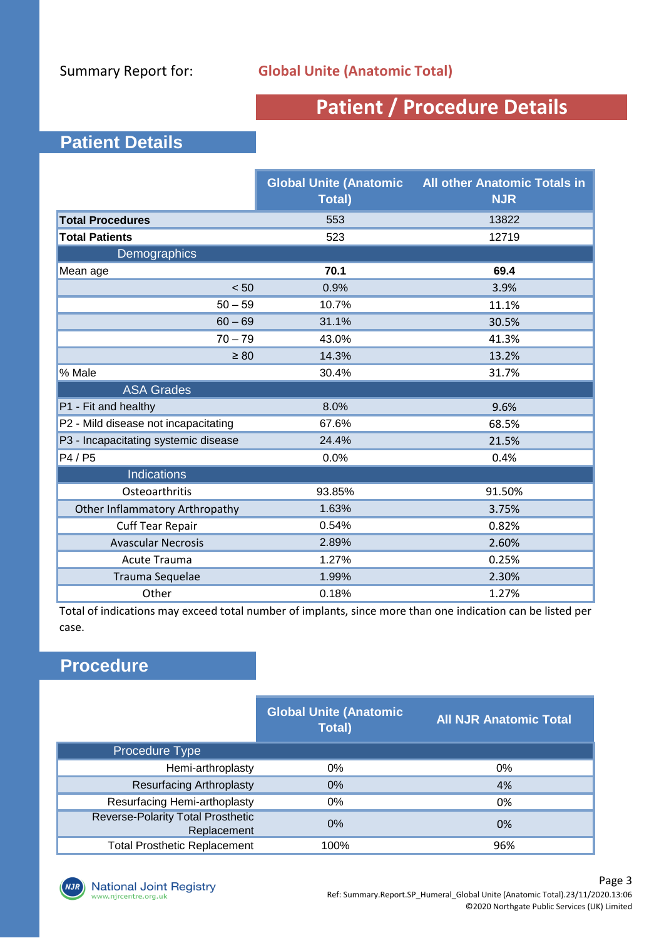## **Patient / Procedure Details**

#### **Patient Details**

|                                       | <b>Global Unite (Anatomic</b><br><b>Total</b> ) | <b>All other Anatomic Totals in</b><br><b>NJR</b> |  |
|---------------------------------------|-------------------------------------------------|---------------------------------------------------|--|
| <b>Total Procedures</b>               | 553                                             | 13822                                             |  |
| <b>Total Patients</b>                 | 523                                             | 12719                                             |  |
| Demographics                          |                                                 |                                                   |  |
| Mean age                              | 70.1                                            | 69.4                                              |  |
| < 50                                  | 0.9%                                            | 3.9%                                              |  |
| $50 - 59$                             | 10.7%                                           | 11.1%                                             |  |
| $60 - 69$                             | 31.1%                                           | 30.5%                                             |  |
| $70 - 79$                             | 43.0%                                           | 41.3%                                             |  |
| $\geq 80$                             | 14.3%                                           | 13.2%                                             |  |
| % Male                                | 30.4%                                           | 31.7%                                             |  |
| <b>ASA Grades</b>                     |                                                 |                                                   |  |
| P1 - Fit and healthy                  | 8.0%                                            | 9.6%                                              |  |
| P2 - Mild disease not incapacitating  | 67.6%                                           | 68.5%                                             |  |
| P3 - Incapacitating systemic disease  | 24.4%                                           | 21.5%                                             |  |
| P4 / P5                               | 0.0%                                            | 0.4%                                              |  |
| <b>Indications</b>                    |                                                 |                                                   |  |
| Osteoarthritis                        | 93.85%                                          | 91.50%                                            |  |
| <b>Other Inflammatory Arthropathy</b> | 1.63%                                           | 3.75%                                             |  |
| <b>Cuff Tear Repair</b>               | 0.54%                                           | 0.82%                                             |  |
| <b>Avascular Necrosis</b>             | 2.89%                                           | 2.60%                                             |  |
| <b>Acute Trauma</b>                   | 1.27%                                           | 0.25%                                             |  |
| Trauma Sequelae                       | 1.99%                                           | 2.30%                                             |  |
| Other                                 | 0.18%                                           | 1.27%                                             |  |

Total of indications may exceed total number of implants, since more than one indication can be listed per case.

#### **Procedure**

|                                                         | <b>Global Unite (Anatomic</b><br><b>Total</b> ) | <b>All NJR Anatomic Total</b> |
|---------------------------------------------------------|-------------------------------------------------|-------------------------------|
| <b>Procedure Type</b>                                   |                                                 |                               |
| Hemi-arthroplasty                                       | 0%                                              | 0%                            |
| <b>Resurfacing Arthroplasty</b>                         | 0%                                              | 4%                            |
| Resurfacing Hemi-arthoplasty                            | 0%                                              | 0%                            |
| <b>Reverse-Polarity Total Prosthetic</b><br>Replacement | $0\%$                                           | 0%                            |
| <b>Total Prosthetic Replacement</b>                     | 100%                                            | 96%                           |

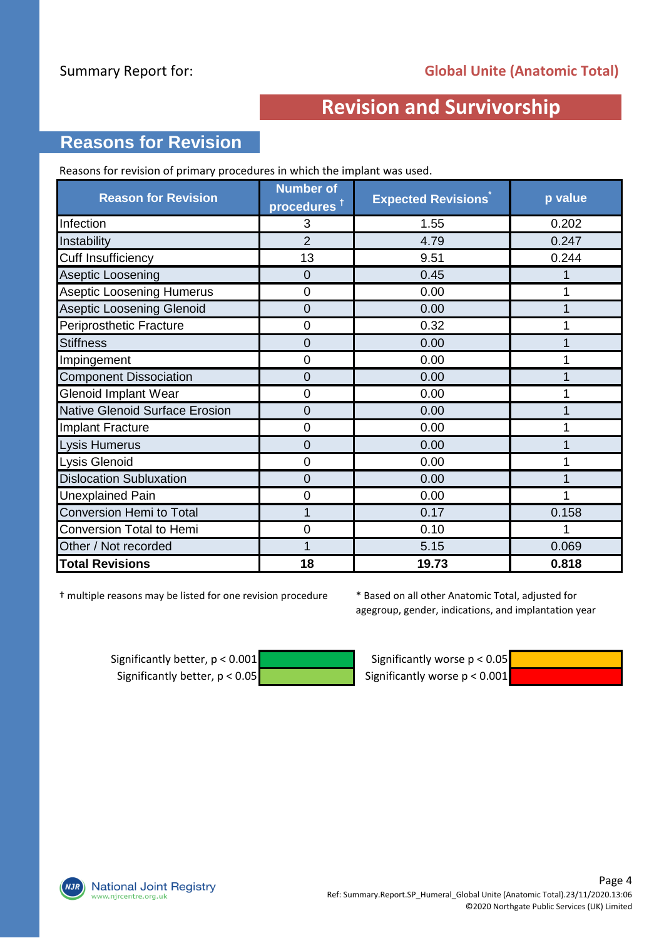#### **Reasons for Revision**

Reasons for revision of primary procedures in which the implant was used.

| <b>Reason for Revision</b>            | <b>Number of</b><br>procedures <sup>†</sup> | <b>Expected Revisions</b> | p value |
|---------------------------------------|---------------------------------------------|---------------------------|---------|
| Infection                             | 3                                           | 1.55                      | 0.202   |
| Instability                           | $\overline{2}$                              | 4.79                      | 0.247   |
| <b>Cuff Insufficiency</b>             | 13                                          | 9.51                      | 0.244   |
| Aseptic Loosening                     | 0                                           | 0.45                      |         |
| <b>Aseptic Loosening Humerus</b>      | 0                                           | 0.00                      |         |
| <b>Aseptic Loosening Glenoid</b>      | 0                                           | 0.00                      |         |
| Periprosthetic Fracture               | 0                                           | 0.32                      |         |
| <b>Stiffness</b>                      | 0                                           | 0.00                      |         |
| Impingement                           | $\overline{0}$                              | 0.00                      |         |
| <b>Component Dissociation</b>         | 0                                           | 0.00                      |         |
| <b>Glenoid Implant Wear</b>           | 0                                           | 0.00                      |         |
| <b>Native Glenoid Surface Erosion</b> | 0                                           | 0.00                      |         |
| <b>Implant Fracture</b>               | 0                                           | 0.00                      |         |
| Lysis Humerus                         | 0                                           | 0.00                      |         |
| Lysis Glenoid                         | 0                                           | 0.00                      |         |
| <b>Dislocation Subluxation</b>        | 0                                           | 0.00                      |         |
| <b>Unexplained Pain</b>               | 0                                           | 0.00                      |         |
| Conversion Hemi to Total              | 1                                           | 0.17                      | 0.158   |
| Conversion Total to Hemi              | 0                                           | 0.10                      |         |
| Other / Not recorded                  |                                             | 5.15                      | 0.069   |
| <b>Total Revisions</b>                | 18                                          | 19.73                     | 0.818   |

† multiple reasons may be listed for one revision procedure

\* Based on all other Anatomic Total, adjusted for agegroup, gender, indications, and implantation year

Significantly better,  $p < 0.001$  Significantly worse  $p < 0.05$ Significantly better,  $p < 0.05$  Significantly worse  $p < 0.001$ 



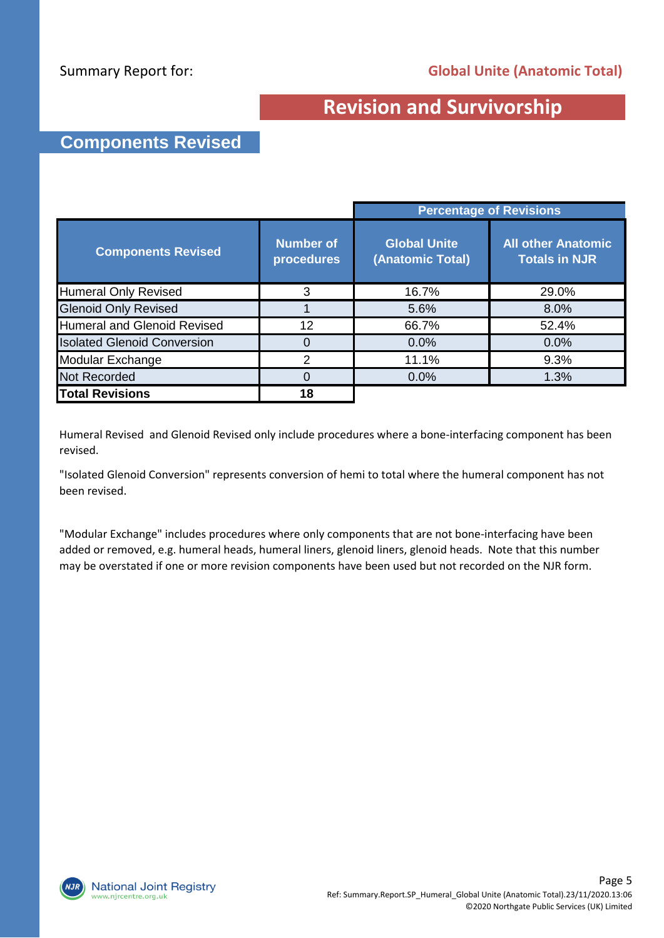#### **Components Revised**

|                                    |                                |                                         | <b>Percentage of Revisions</b>                    |
|------------------------------------|--------------------------------|-----------------------------------------|---------------------------------------------------|
| <b>Components Revised</b>          | <b>Number of</b><br>procedures | <b>Global Unite</b><br>(Anatomic Total) | <b>All other Anatomic</b><br><b>Totals in NJR</b> |
| <b>Humeral Only Revised</b>        | 3                              | 16.7%                                   | 29.0%                                             |
| <b>Glenoid Only Revised</b>        |                                | 5.6%                                    | 8.0%                                              |
| <b>Humeral and Glenoid Revised</b> | 12                             | 66.7%                                   | 52.4%                                             |
| <b>Isolated Glenoid Conversion</b> | 0                              | 0.0%                                    | 0.0%                                              |
| Modular Exchange                   | 2                              | 11.1%                                   | 9.3%                                              |
| <b>Not Recorded</b>                | 0                              | 0.0%                                    | 1.3%                                              |
| <b>Total Revisions</b>             | 18                             |                                         |                                                   |

Humeral Revised and Glenoid Revised only include procedures where a bone-interfacing component has been revised.

"Isolated Glenoid Conversion" represents conversion of hemi to total where the humeral component has not been revised.

"Modular Exchange" includes procedures where only components that are not bone-interfacing have been added or removed, e.g. humeral heads, humeral liners, glenoid liners, glenoid heads. Note that this number may be overstated if one or more revision components have been used but not recorded on the NJR form.

**National Joint Registry** vw.njrcentre.org.uk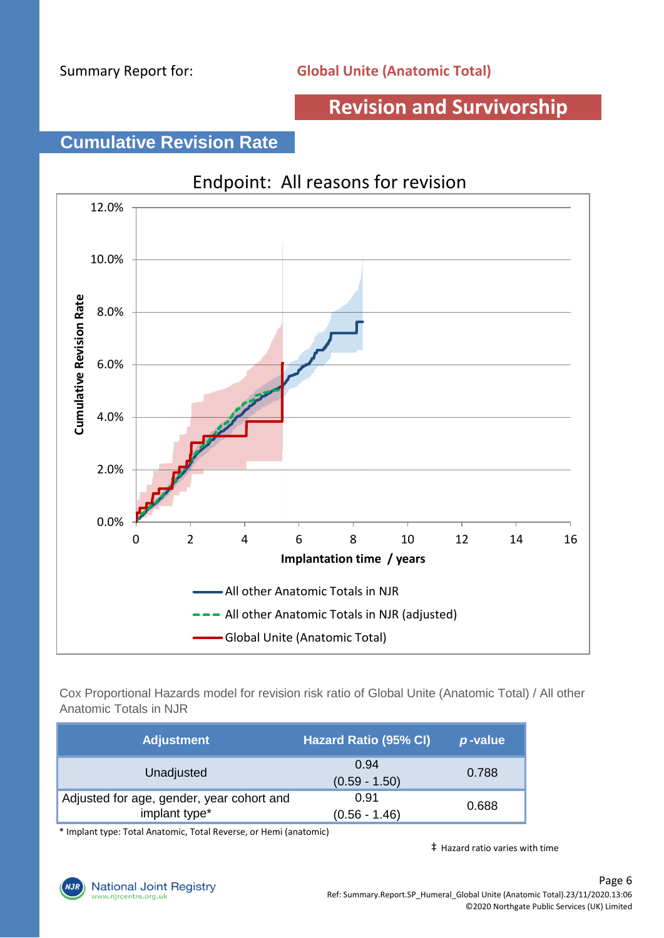#### **Cumulative Revision Rate**



Cox Proportional Hazards model for revision risk ratio of Global Unite (Anatomic Total) / All other Anatomic Totals in NJR

| <b>Adjustment</b>                                          | <b>Hazard Ratio (95% CI)</b> | p-value |
|------------------------------------------------------------|------------------------------|---------|
| Unadjusted                                                 | 0.94<br>$(0.59 - 1.50)$      | 0.788   |
| Adjusted for age, gender, year cohort and<br>implant type* | 0.91<br>$(0.56 - 1.46)$      | 0.688   |

\* Implant type: Total Anatomic, Total Reverse, or Hemi (anatomic)

‡ Hazard ratio varies with time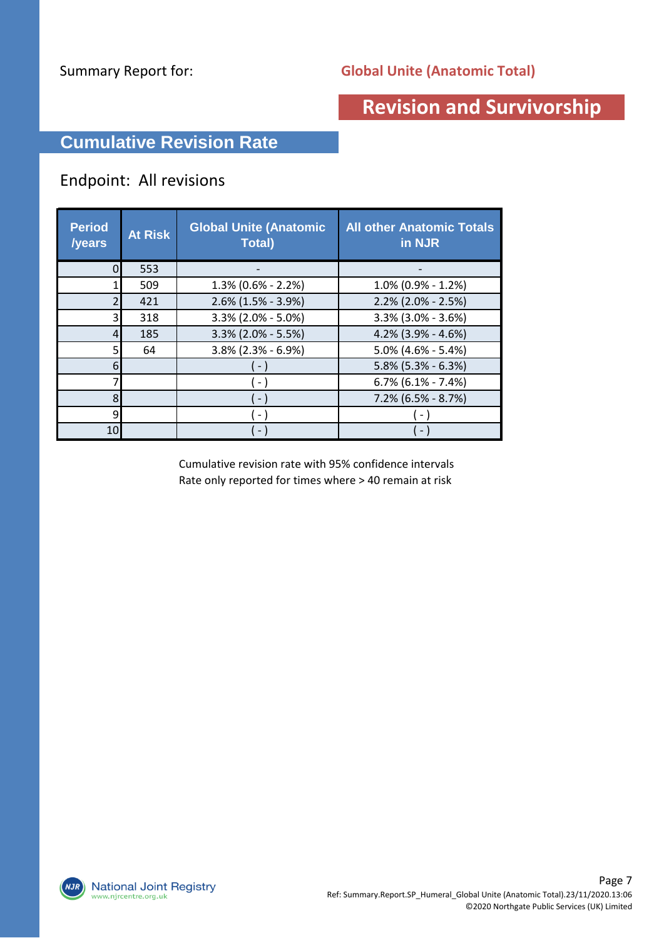#### **Cumulative Revision Rate**

#### Endpoint: All revisions

| <b>Period</b><br>/years | <b>At Risk</b> | <b>Global Unite (Anatomic</b><br><b>Total</b> ) | <b>All other Anatomic Totals</b><br>in NJR |
|-------------------------|----------------|-------------------------------------------------|--------------------------------------------|
|                         | 553            |                                                 |                                            |
|                         | 509            | $1.3\%$ (0.6% - 2.2%)                           | $1.0\%$ (0.9% - 1.2%)                      |
|                         | 421            | $2.6\%$ (1.5% - 3.9%)                           | $2.2\%$ (2.0% - 2.5%)                      |
| 3                       | 318            | $3.3\%$ (2.0% - 5.0%)                           | $3.3\%$ (3.0% - 3.6%)                      |
| 4                       | 185            | 3.3% (2.0% - 5.5%)                              | 4.2% (3.9% - 4.6%)                         |
|                         | 64             | $3.8\%$ (2.3% - 6.9%)                           | $5.0\%$ (4.6% - 5.4%)                      |
| 6                       |                |                                                 | $5.8\%$ (5.3% - 6.3%)                      |
|                         |                | $ \,$                                           | $6.7\%$ (6.1% - 7.4%)                      |
| 8                       |                | $\sim$                                          | $7.2\%$ (6.5% - 8.7%)                      |
| q                       |                | $\sim$                                          |                                            |
| 10                      |                | - 1                                             |                                            |

Cumulative revision rate with 95% confidence intervals Rate only reported for times where > 40 remain at risk

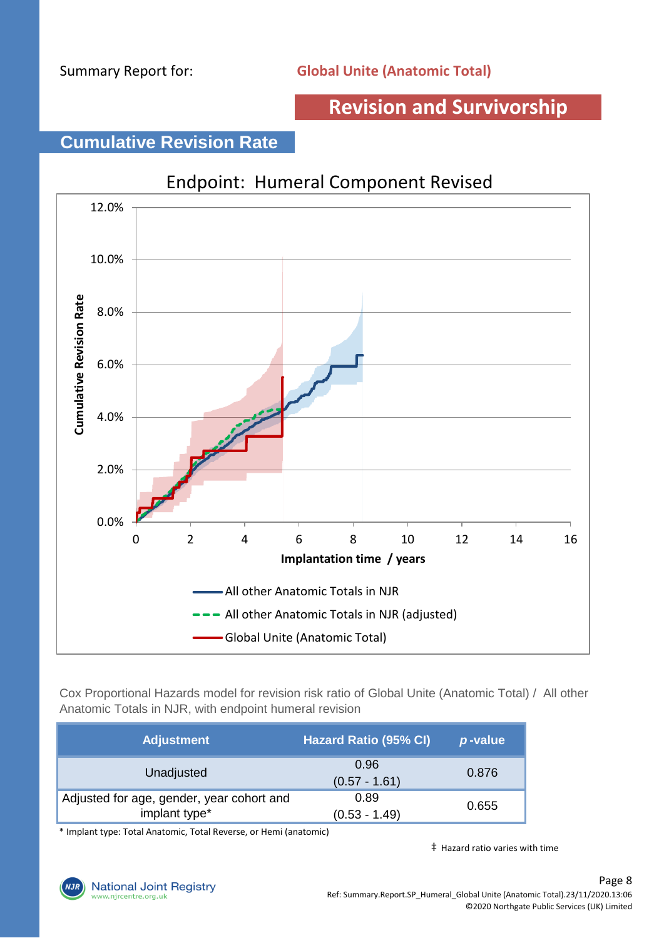#### **Cumulative Revision Rate**



Cox Proportional Hazards model for revision risk ratio of Global Unite (Anatomic Total) / All other Anatomic Totals in NJR, with endpoint humeral revision

| <b>Adjustment</b>                                          | <b>Hazard Ratio (95% CI)</b> | p-value |
|------------------------------------------------------------|------------------------------|---------|
| Unadjusted                                                 | 0.96<br>$(0.57 - 1.61)$      | 0.876   |
| Adjusted for age, gender, year cohort and<br>implant type* | 0.89<br>$(0.53 - 1.49)$      | 0.655   |

\* Implant type: Total Anatomic, Total Reverse, or Hemi (anatomic)

‡ Hazard ratio varies with time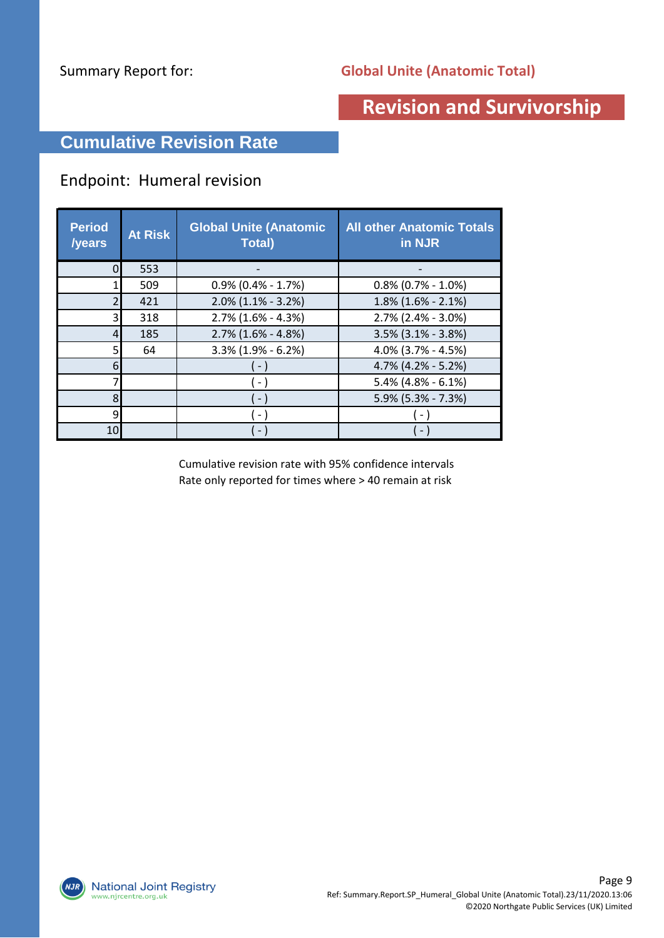#### **Cumulative Revision Rate**

#### Endpoint: Humeral revision

| <b>Period</b><br>/years | <b>At Risk</b> | <b>Global Unite (Anatomic</b><br><b>Total</b> ) | <b>All other Anatomic Totals</b><br>in NJR |
|-------------------------|----------------|-------------------------------------------------|--------------------------------------------|
|                         | 553            |                                                 |                                            |
|                         | 509            | $0.9\%$ (0.4% - 1.7%)                           | $0.8\%$ (0.7% - 1.0%)                      |
|                         | 421            | $2.0\%$ (1.1% - 3.2%)                           | $1.8\%$ (1.6% - 2.1%)                      |
| 3                       | 318            | $2.7\%$ (1.6% - 4.3%)                           | $2.7\%$ (2.4% - 3.0%)                      |
| 4                       | 185            | $2.7\%$ (1.6% - 4.8%)                           | $3.5\%$ (3.1% - 3.8%)                      |
|                         | 64             | $3.3\%$ (1.9% - 6.2%)                           | 4.0% (3.7% - 4.5%)                         |
| 6                       |                | $\sim$                                          | $4.7\%$ (4.2% - 5.2%)                      |
|                         |                | $\sim$ 1                                        | $5.4\%$ (4.8% - 6.1%)                      |
| 8                       |                | $\sim$                                          | 5.9% (5.3% - 7.3%)                         |
| q                       |                | $ \,$                                           |                                            |
| 10                      |                | - 1                                             | $\sim$                                     |

Cumulative revision rate with 95% confidence intervals Rate only reported for times where > 40 remain at risk

**National Joint Registry**  $NJK$ www.njrcentre.org.uk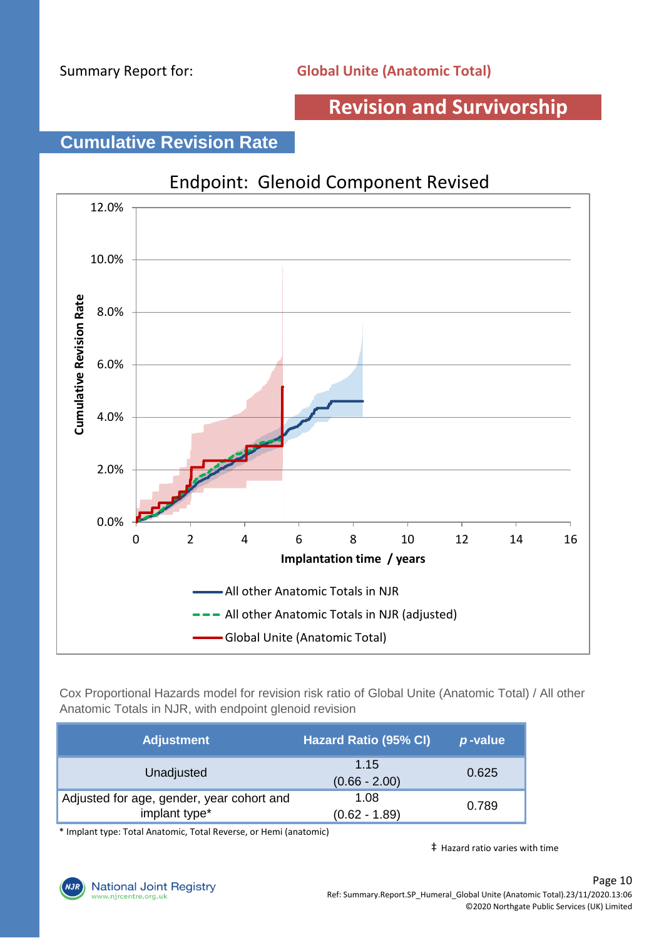#### **Cumulative Revision Rate**



Cox Proportional Hazards model for revision risk ratio of Global Unite (Anatomic Total) / All other Anatomic Totals in NJR, with endpoint glenoid revision

| <b>Adjustment</b>                                          | <b>Hazard Ratio (95% CI)</b> | p-value |
|------------------------------------------------------------|------------------------------|---------|
| Unadjusted                                                 | 1.15<br>$(0.66 - 2.00)$      | 0.625   |
| Adjusted for age, gender, year cohort and<br>implant type* | 1.08<br>$(0.62 - 1.89)$      | 0.789   |

\* Implant type: Total Anatomic, Total Reverse, or Hemi (anatomic)

‡ Hazard ratio varies with time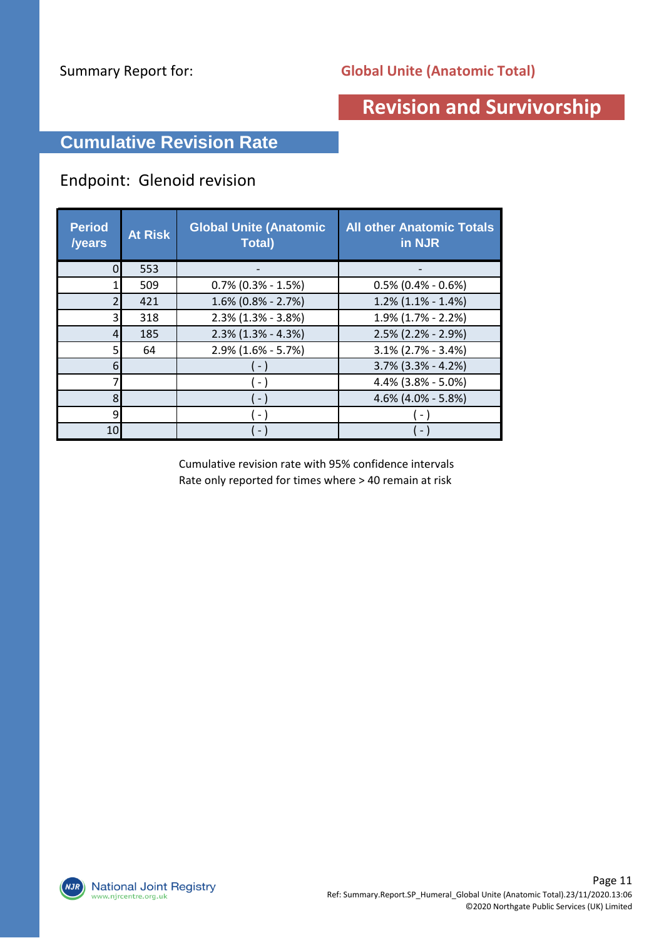#### **Cumulative Revision Rate**

#### Endpoint: Glenoid revision

| <b>Period</b><br>/years | <b>At Risk</b> | <b>Global Unite (Anatomic</b><br><b>Total</b> ) | <b>All other Anatomic Totals</b><br>in NJR |
|-------------------------|----------------|-------------------------------------------------|--------------------------------------------|
|                         | 553            |                                                 |                                            |
|                         | 509            | $0.7\%$ (0.3% - 1.5%)                           | $0.5\%$ (0.4% - 0.6%)                      |
|                         | 421            | $1.6\%$ (0.8% - 2.7%)                           | $1.2\%$ (1.1% - 1.4%)                      |
| ς                       | 318            | $2.3\%$ (1.3% - 3.8%)                           | $1.9\%$ (1.7% - 2.2%)                      |
| 4                       | 185            | $2.3\%$ (1.3% - 4.3%)                           | $2.5\%$ (2.2% - 2.9%)                      |
|                         | 64             | $2.9\%$ (1.6% - 5.7%)                           | $3.1\%$ (2.7% - 3.4%)                      |
| 6                       |                |                                                 | 3.7% (3.3% - 4.2%)                         |
|                         |                | $\sim$                                          | 4.4% (3.8% - 5.0%)                         |
| 8                       |                |                                                 | 4.6% (4.0% - 5.8%)                         |
| q                       |                | $\sim$ 1                                        |                                            |
| 10                      |                |                                                 |                                            |

Cumulative revision rate with 95% confidence intervals Rate only reported for times where > 40 remain at risk

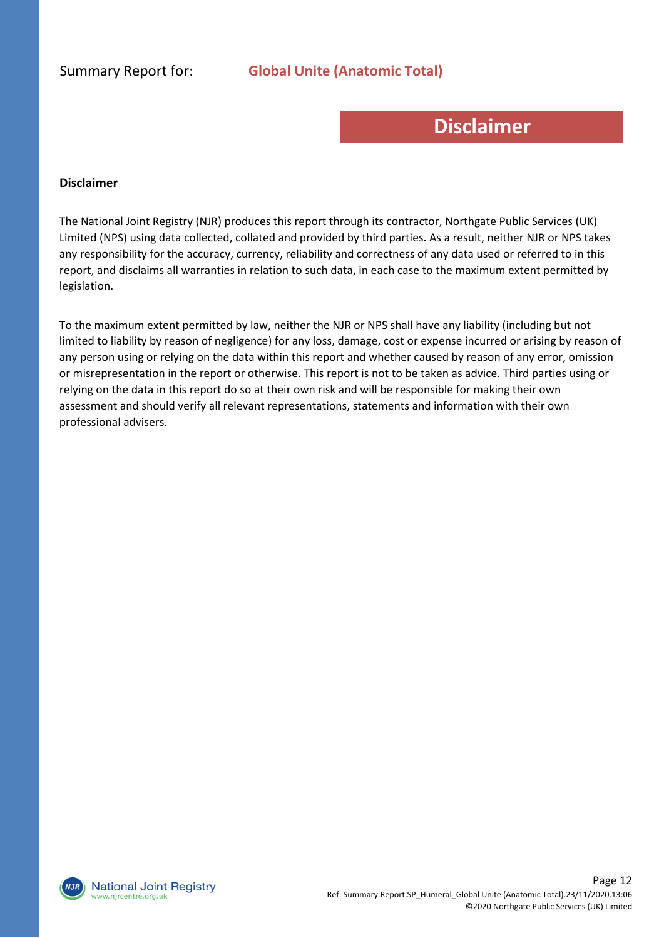## **Disclaimer**

#### **Disclaimer**

The National Joint Registry (NJR) produces this report through its contractor, Northgate Public Services (UK) Limited (NPS) using data collected, collated and provided by third parties. As a result, neither NJR or NPS takes any responsibility for the accuracy, currency, reliability and correctness of any data used or referred to in this report, and disclaims all warranties in relation to such data, in each case to the maximum extent permitted by legislation.

To the maximum extent permitted by law, neither the NJR or NPS shall have any liability (including but not limited to liability by reason of negligence) for any loss, damage, cost or expense incurred or arising by reason of any person using or relying on the data within this report and whether caused by reason of any error, omission or misrepresentation in the report or otherwise. This report is not to be taken as advice. Third parties using or relying on the data in this report do so at their own risk and will be responsible for making their own assessment and should verify all relevant representations, statements and information with their own professional advisers.

**National Joint Registry** vw.njrcentre.org.uk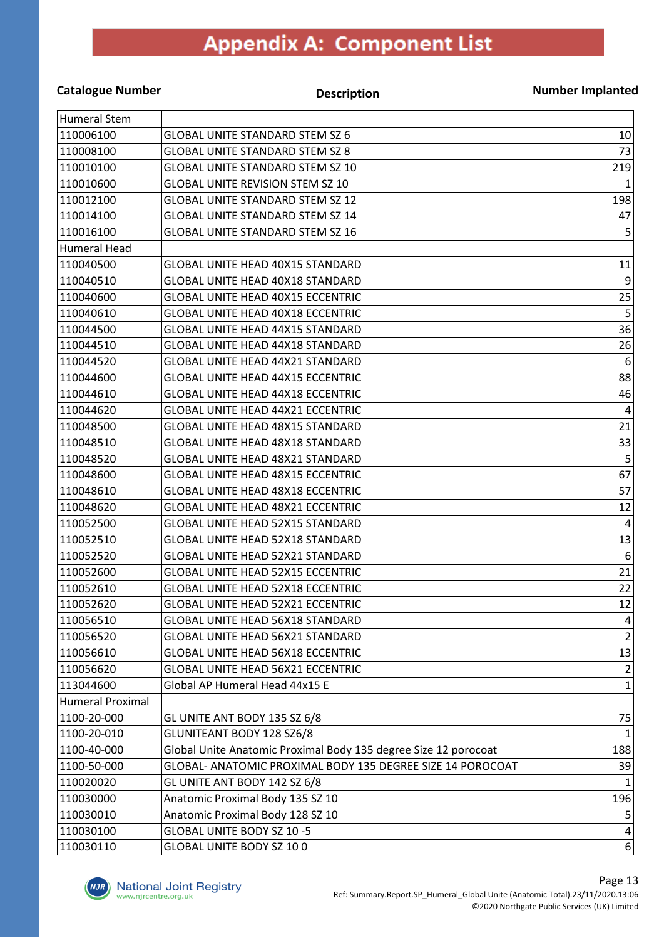## **Appendix A: Component List**

#### **Catalogue Number Description**

**Number Implanted**

| Humeral Stem            |                                                                 |                  |
|-------------------------|-----------------------------------------------------------------|------------------|
| 110006100               | <b>GLOBAL UNITE STANDARD STEM SZ 6</b>                          | 10               |
| 1110008100              | <b>GLOBAL UNITE STANDARD STEM SZ 8</b>                          | 73               |
| 110010100               | <b>GLOBAL UNITE STANDARD STEM SZ 10</b>                         | 219              |
| 110010600               | <b>GLOBAL UNITE REVISION STEM SZ 10</b>                         | $\mathbf{1}$     |
| 110012100               | <b>GLOBAL UNITE STANDARD STEM SZ 12</b>                         | 198              |
| 1110014100              | <b>GLOBAL UNITE STANDARD STEM SZ 14</b>                         | 47               |
| 110016100               | <b>GLOBAL UNITE STANDARD STEM SZ 16</b>                         | 5                |
| Humeral Head            |                                                                 |                  |
| 110040500               | <b>GLOBAL UNITE HEAD 40X15 STANDARD</b>                         | 11               |
| 110040510               | <b>GLOBAL UNITE HEAD 40X18 STANDARD</b>                         | 9                |
| 110040600               | <b>GLOBAL UNITE HEAD 40X15 ECCENTRIC</b>                        | 25               |
| 110040610               | <b>GLOBAL UNITE HEAD 40X18 ECCENTRIC</b>                        | 5                |
| 110044500               | <b>GLOBAL UNITE HEAD 44X15 STANDARD</b>                         | 36               |
| 110044510               | <b>GLOBAL UNITE HEAD 44X18 STANDARD</b>                         | 26               |
| 110044520               | <b>GLOBAL UNITE HEAD 44X21 STANDARD</b>                         | $\boldsymbol{6}$ |
| 110044600               | <b>GLOBAL UNITE HEAD 44X15 ECCENTRIC</b>                        | 88               |
| 110044610               | <b>GLOBAL UNITE HEAD 44X18 ECCENTRIC</b>                        | 46               |
| 110044620               | <b>GLOBAL UNITE HEAD 44X21 ECCENTRIC</b>                        | 4                |
| 110048500               | <b>GLOBAL UNITE HEAD 48X15 STANDARD</b>                         | 21               |
| 110048510               | <b>GLOBAL UNITE HEAD 48X18 STANDARD</b>                         | 33               |
| 110048520               | <b>GLOBAL UNITE HEAD 48X21 STANDARD</b>                         | 5                |
| 110048600               | <b>GLOBAL UNITE HEAD 48X15 ECCENTRIC</b>                        | 67               |
| 1110048610              | <b>GLOBAL UNITE HEAD 48X18 ECCENTRIC</b>                        | 57               |
| 110048620               | <b>GLOBAL UNITE HEAD 48X21 ECCENTRIC</b>                        | 12               |
| 110052500               | <b>GLOBAL UNITE HEAD 52X15 STANDARD</b>                         | 4                |
| 110052510               | <b>GLOBAL UNITE HEAD 52X18 STANDARD</b>                         | 13               |
| 110052520               | GLOBAL UNITE HEAD 52X21 STANDARD                                | $\boldsymbol{6}$ |
| 110052600               | <b>GLOBAL UNITE HEAD 52X15 ECCENTRIC</b>                        | 21               |
| 110052610               | <b>GLOBAL UNITE HEAD 52X18 ECCENTRIC</b>                        | 22               |
| 110052620               | <b>GLOBAL UNITE HEAD 52X21 ECCENTRIC</b>                        | 12               |
| 110056510               | <b>GLOBAL UNITE HEAD 56X18 STANDARD</b>                         | $\vert 4 \vert$  |
| 110056520               | <b>GLOBAL UNITE HEAD 56X21 STANDARD</b>                         | $\overline{2}$   |
| 110056610               | <b>GLOBAL UNITE HEAD 56X18 ECCENTRIC</b>                        | 13               |
| 110056620               | <b>GLOBAL UNITE HEAD 56X21 ECCENTRIC</b>                        | $\overline{2}$   |
| 113044600               | Global AP Humeral Head 44x15 E                                  | $\mathbf{1}$     |
| <b>Humeral Proximal</b> |                                                                 |                  |
| 1100-20-000             | GL UNITE ANT BODY 135 SZ 6/8                                    | 75               |
| 1100-20-010             | <b>GLUNITEANT BODY 128 SZ6/8</b>                                | 1                |
| 1100-40-000             | Global Unite Anatomic Proximal Body 135 degree Size 12 porocoat | 188              |
| 1100-50-000             | GLOBAL- ANATOMIC PROXIMAL BODY 135 DEGREE SIZE 14 POROCOAT      | 39               |
| 110020020               | GL UNITE ANT BODY 142 SZ 6/8                                    |                  |
| 110030000               | Anatomic Proximal Body 135 SZ 10                                | 196              |
| 110030010               | Anatomic Proximal Body 128 SZ 10                                | 5                |
| 110030100               | GLOBAL UNITE BODY SZ 10 -5                                      | $\overline{4}$   |
| 110030110               | GLOBAL UNITE BODY SZ 100                                        | $6 \mid$         |